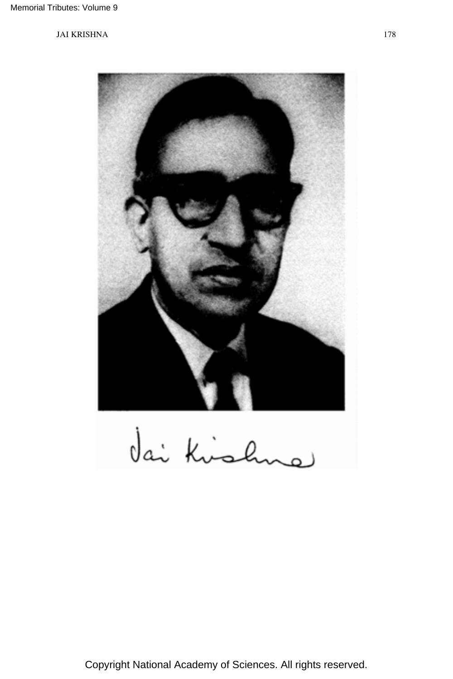

dai Kishne

Copyright National Academy of Sciences. All rights reserved.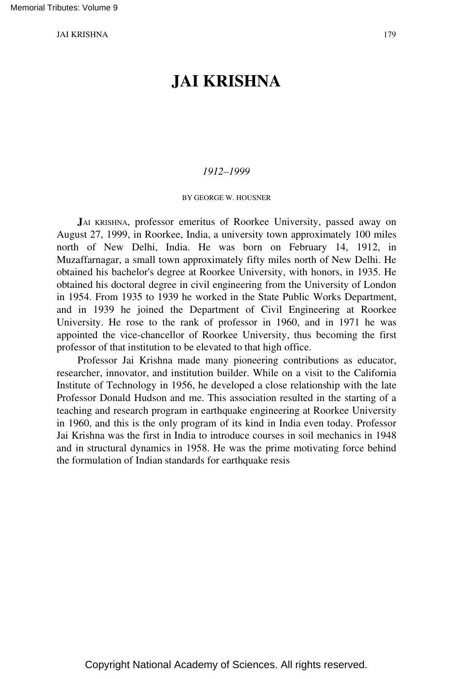# **JAI KRISHNA**

## *1912–1999*

### BY GEORGE W. HOUSNER

**J**AI KRISHNA, professor emeritus of Roorkee University, passed away on August 27, 1999, in Roorkee, India, a university town approximately 100 miles north of New Delhi, India. He was born on February 14, 1912, in Muzaffarnagar, a small town approximately fifty miles north of New Delhi. He obtained his bachelor's degree at Roorkee University, with honors, in 1935. He obtained his doctoral degree in civil engineering from the University of London in 1954. From 1935 to 1939 he worked in the State Public Works Department, and in 1939 he joined the Department of Civil Engineering at Roorkee University. He rose to the rank of professor in 1960, and in 1971 he was appointed the vice-chancellor of Roorkee University, thus becoming the first professor of that institution to be elevated to that high office.

Professor Jai Krishna made many pioneering contributions as educator, researcher, innovator, and institution builder. While on a visit to the California Institute of Technology in 1956, he developed a close relationship with the late Professor Donald Hudson and me. This association resulted in the starting of a teaching and research program in earthquake engineering at Roorkee University in 1960, and this is the only program of its kind in India even today. Professor Jai Krishna was the first in India to introduce courses in soil mechanics in 1948 and in structural dynamics in 1958. He was the prime motivating force behind the formulation of Indian standards for earthquake resis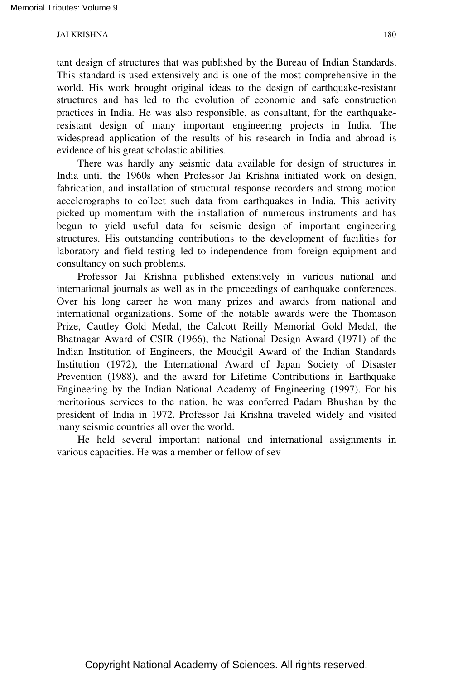tant design of structures that was published by the Bureau of Indian Standards. This standard is used extensively and is one of the most comprehensive in the world. His work brought original ideas to the design of earthquake-resistant structures and has led to the evolution of economic and safe construction practices in India. He was also responsible, as consultant, for the earthquakeresistant design of many important engineering projects in India. The widespread application of the results of his research in India and abroad is evidence of his great scholastic abilities.

There was hardly any seismic data available for design of structures in India until the 1960s when Professor Jai Krishna initiated work on design, fabrication, and installation of structural response recorders and strong motion accelerographs to collect such data from earthquakes in India. This activity picked up momentum with the installation of numerous instruments and has begun to yield useful data for seismic design of important engineering structures. His outstanding contributions to the development of facilities for laboratory and field testing led to independence from foreign equipment and consultancy on such problems.

Professor Jai Krishna published extensively in various national and international journals as well as in the proceedings of earthquake conferences. Over his long career he won many prizes and awards from national and international organizations. Some of the notable awards were the Thomason Prize, Cautley Gold Medal, the Calcott Reilly Memorial Gold Medal, the Bhatnagar Award of CSIR (1966), the National Design Award (1971) of the Indian Institution of Engineers, the Moudgil Award of the Indian Standards Institution (1972), the International Award of Japan Society of Disaster Prevention (1988), and the award for Lifetime Contributions in Earthquake Engineering by the Indian National Academy of Engineering (1997). For his meritorious services to the nation, he was conferred Padam Bhushan by the president of India in 1972. Professor Jai Krishna traveled widely and visited many seismic countries all over the world.

He held several important national and international assignments in various capacities. He was a member or fellow of sev